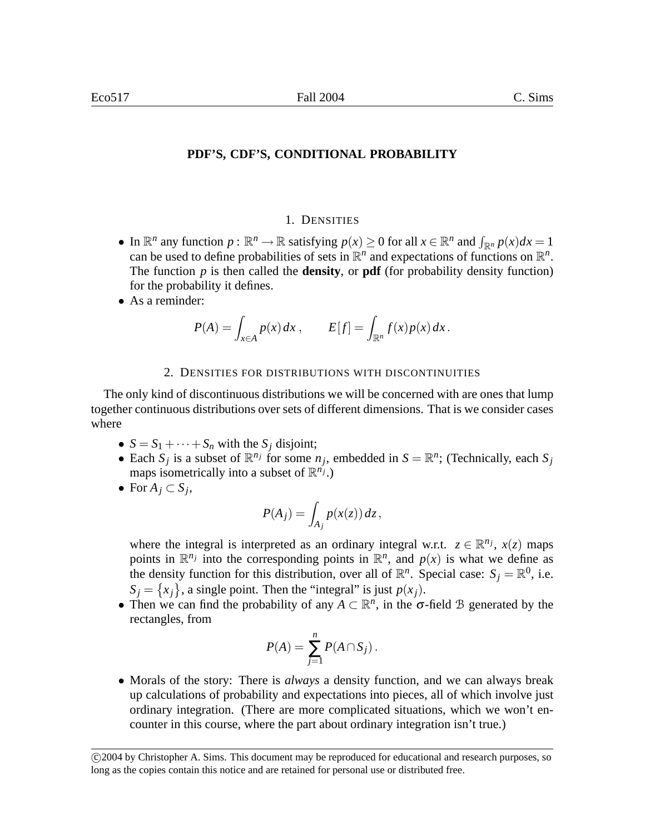## **PDF'S, CDF'S, CONDITIONAL PROBABILITY**

### 1. DENSITIES

- In  $\mathbb{R}^n$  any function  $p : \mathbb{R}^n \to \mathbb{R}$  satisfying  $p(x) \ge 0$  for all  $x \in \mathbb{R}^n$  and  $\int_{\mathbb{R}^n} p(x) dx = 1$ can be used to define probabilities of sets in  $\mathbb{R}^n$  and expectations of functions on  $\mathbb{R}^n$ . The function *p* is then called the **density**, or **pdf** (for probability density function) for the probability it defines.
- As a reminder:

$$
P(A) = \int_{x \in A} p(x) dx, \qquad E[f] = \int_{\mathbb{R}^n} f(x) p(x) dx.
$$

### 2. DENSITIES FOR DISTRIBUTIONS WITH DISCONTINUITIES

The only kind of discontinuous distributions we will be concerned with are ones that lump together continuous distributions over sets of different dimensions. That is we consider cases where

- $S = S_1 + \cdots + S_n$  with the  $S_j$  disjoint;
- Each  $S_j$  is a subset of  $\mathbb{R}^{n_j}$  for some  $n_j$ , embedded in  $S = \mathbb{R}^n$ ; (Technically, each  $S_j$ maps isometrically into a subset of  $\mathbb{R}^{n_j}$ .)
- For  $A_j \subset S_j$ ,

$$
P(A_j) = \int_{A_j} p(x(z)) dz,
$$

where the integral is interpreted as an ordinary integral w.r.t.  $z \in \mathbb{R}^{n_j}$ ,  $x(z)$  maps points in  $\mathbb{R}^{n_j}$  into the corresponding points in  $\mathbb{R}^n$ , and  $p(x)$  is what we define as the density function for this distribution, over all of  $\mathbb{R}^n$ . Special case:  $S_j = \mathbb{R}^0$ , i.e.  $S_j = \{x_j\}$ , a single point. Then the "integral" is just  $p(x_j)$ .

• Then we can find the probability of any  $A \subset \mathbb{R}^n$ , in the  $\sigma$ -field B generated by the rectangles, from

$$
P(A) = \sum_{j=1}^n P(A \cap S_j).
$$

• Morals of the story: There is *always* a density function, and we can always break up calculations of probability and expectations into pieces, all of which involve just ordinary integration. (There are more complicated situations, which we won't encounter in this course, where the part about ordinary integration isn't true.)

c 2004 by Christopher A. Sims. This document may be reproduced for educational and research purposes, so long as the copies contain this notice and are retained for personal use or distributed free.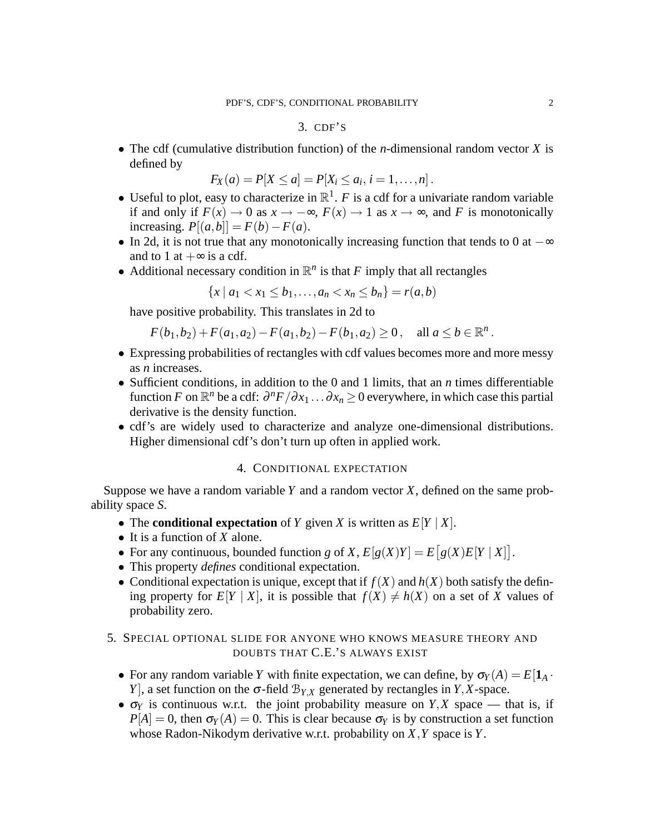### 3. CDF'S

• The cdf (cumulative distribution function) of the *n*-dimensional random vector *X* is defined by

$$
F_X(a) = P[X \le a] = P[X_i \le a_i, i = 1, ..., n].
$$

- Useful to plot, easy to characterize in  $\mathbb{R}^1$ . *F* is a cdf for a univariate random variable if and only if  $F(x) \to 0$  as  $x \to -\infty$ ,  $F(x) \to 1$  as  $x \to \infty$ , and *F* is monotonically increasing.  $P[(a,b]] = F(b) - F(a)$ .
- In 2d, it is not true that any monotonically increasing function that tends to 0 at  $-\infty$ and to 1 at  $+\infty$  is a cdf.
- Additional necessary condition in  $\mathbb{R}^n$  is that *F* imply that all rectangles

 ${x \mid a_1 < x_1 < b_1, \ldots, a_n < x_n < b_n} = r(a,b)$ 

have positive probability. This translates in 2d to

 $F(b_1, b_2) + F(a_1, a_2) - F(a_1, b_2) - F(b_1, a_2) \ge 0$ , all  $a \le b \in \mathbb{R}^n$ .

- Expressing probabilities of rectangles with cdf values becomes more and more messy as *n* increases.
- Sufficient conditions, in addition to the 0 and 1 limits, that an *n* times differentiable function *F* on  $\mathbb{R}^n$  be a cdf:  $\frac{\partial^n F}{\partial x_1} \dots \frac{\partial x_n}{\partial x_n} \geq 0$  everywhere, in which case this partial derivative is the density function.
- cdf's are widely used to characterize and analyze one-dimensional distributions. Higher dimensional cdf's don't turn up often in applied work.

### 4. CONDITIONAL EXPECTATION

Suppose we have a random variable *Y* and a random vector *X*, defined on the same probability space *S*.

- The **conditional expectation** of *Y* given *X* is written as  $E[Y | X]$ .
- It is a function of *X* alone.
- For any continuous, bounded function *g* of *X*,  $E[g(X)Y] = E[g(X)E[Y | X]$ .
- This property *defines* conditional expectation.
- Conditional expectation is unique, except that if  $f(X)$  and  $h(X)$  both satisfy the defining property for  $E[Y | X]$ , it is possible that  $f(X) \neq h(X)$  on a set of X values of probability zero.

# 5. SPECIAL OPTIONAL SLIDE FOR ANYONE WHO KNOWS MEASURE THEORY AND DOUBTS THAT C.E.'S ALWAYS EXIST

- For any random variable *Y* with finite expectation, we can define, by  $\sigma_Y(A) = E[1_A \cdot$ *Y*], a set function on the  $\sigma$ -field  $\mathcal{B}_{Y,X}$  generated by rectangles in *Y*,*X*-space.
- $\sigma_Y$  is continuous w.r.t. the joint probability measure on *Y*,*X* space that is, if  $P[A] = 0$ , then  $\sigma_Y(A) = 0$ . This is clear because  $\sigma_Y$  is by construction a set function whose Radon-Nikodym derivative w.r.t. probability on *X*,*Y* space is *Y*.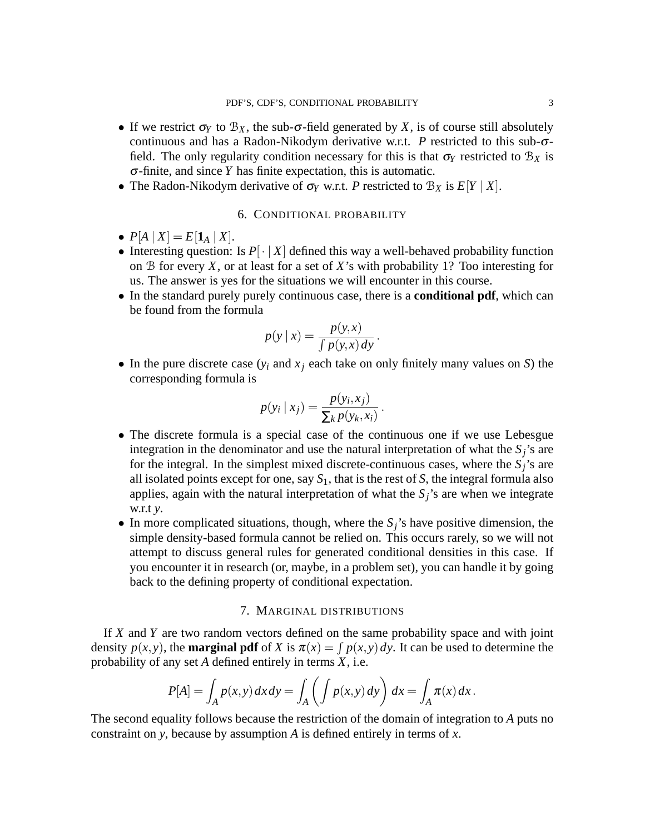- If we restrict  $\sigma_Y$  to  $\mathcal{B}_X$ , the sub- $\sigma$ -field generated by X, is of course still absolutely continuous and has a Radon-Nikodym derivative w.r.t. *P* restricted to this sub-σfield. The only regularity condition necessary for this is that  $\sigma_Y$  restricted to  $\mathcal{B}_X$  is σ-finite, and since *Y* has finite expectation, this is automatic.
- The Radon-Nikodym derivative of  $\sigma_Y$  w.r.t. *P* restricted to  $B_X$  is  $E[Y | X]$ .

# 6. CONDITIONAL PROBABILITY

- $P[A | X] = E[\mathbf{1}_A | X].$
- Interesting question: Is  $P[\cdot | X]$  defined this way a well-behaved probability function on B for every *X*, or at least for a set of *X*'s with probability 1? Too interesting for us. The answer is yes for the situations we will encounter in this course.
- In the standard purely purely continuous case, there is a **conditional pdf**, which can be found from the formula

$$
p(y \mid x) = \frac{p(y, x)}{\int p(y, x) \, dy}.
$$

• In the pure discrete case  $(y_i$  and  $x_j$  each take on only finitely many values on *S*) the corresponding formula is

$$
p(y_i | x_j) = \frac{p(y_i, x_j)}{\sum_k p(y_k, x_i)}.
$$

- The discrete formula is a special case of the continuous one if we use Lebesgue integration in the denominator and use the natural interpretation of what the  $S_j$ 's are for the integral. In the simplest mixed discrete-continuous cases, where the  $S_i$ 's are all isolated points except for one, say  $S_1$ , that is the rest of  $S$ , the integral formula also applies, again with the natural interpretation of what the  $S_j$ 's are when we integrate w.r.t *y*.
- In more complicated situations, though, where the *Sj*'s have positive dimension, the simple density-based formula cannot be relied on. This occurs rarely, so we will not attempt to discuss general rules for generated conditional densities in this case. If you encounter it in research (or, maybe, in a problem set), you can handle it by going back to the defining property of conditional expectation.

# 7. MARGINAL DISTRIBUTIONS

If *X* and *Y* are two random vectors defined on the same probability space and with joint density  $p(x, y)$ , the **marginal pdf** of *X* is  $\pi(x) = \int p(x, y) dy$ . It can be used to determine the probability of any set *A* defined entirely in terms *X*, i.e.

$$
P[A] = \int_A p(x, y) dx dy = \int_A \left( \int p(x, y) dy \right) dx = \int_A \pi(x) dx.
$$

The second equality follows because the restriction of the domain of integration to *A* puts no constraint on *y*, because by assumption *A* is defined entirely in terms of *x*.